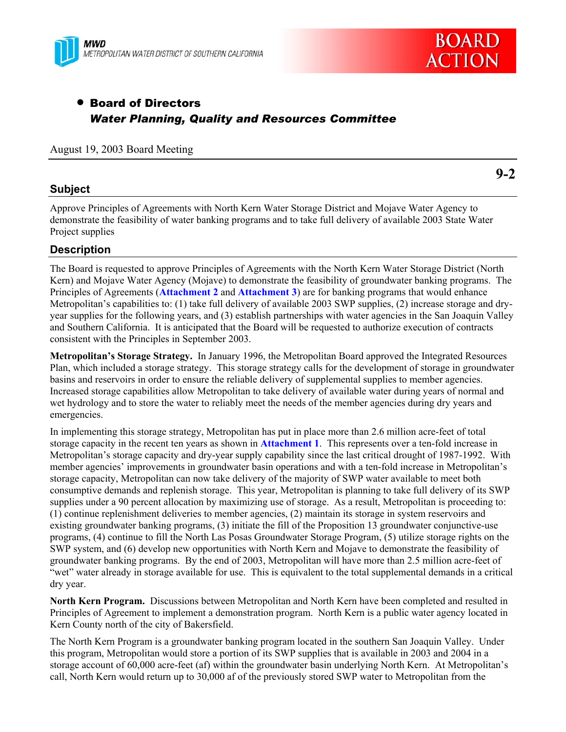



# • Board of Directors *Water Planning, Quality and Resources Committee*

### August 19, 2003 Board Meeting

### **Subject**

**9-2** 

Approve Principles of Agreements with North Kern Water Storage District and Mojave Water Agency to demonstrate the feasibility of water banking programs and to take full delivery of available 2003 State Water Project supplies

# **Description**

The Board is requested to approve Principles of Agreements with the North Kern Water Storage District (North Kern) and Mojave Water Agency (Mojave) to demonstrate the feasibility of groundwater banking programs. The Principles of Agreements (**Attachment 2** and **Attachment 3**) are for banking programs that would enhance Metropolitan's capabilities to: (1) take full delivery of available 2003 SWP supplies, (2) increase storage and dryyear supplies for the following years, and (3) establish partnerships with water agencies in the San Joaquin Valley and Southern California. It is anticipated that the Board will be requested to authorize execution of contracts consistent with the Principles in September 2003.

**Metropolitan's Storage Strategy.** In January 1996, the Metropolitan Board approved the Integrated Resources Plan, which included a storage strategy. This storage strategy calls for the development of storage in groundwater basins and reservoirs in order to ensure the reliable delivery of supplemental supplies to member agencies. Increased storage capabilities allow Metropolitan to take delivery of available water during years of normal and wet hydrology and to store the water to reliably meet the needs of the member agencies during dry years and emergencies.

In implementing this storage strategy, Metropolitan has put in place more than 2.6 million acre-feet of total storage capacity in the recent ten years as shown in **Attachment 1**. This represents over a ten-fold increase in Metropolitan's storage capacity and dry-year supply capability since the last critical drought of 1987-1992. With member agencies' improvements in groundwater basin operations and with a ten-fold increase in Metropolitan's storage capacity, Metropolitan can now take delivery of the majority of SWP water available to meet both consumptive demands and replenish storage. This year, Metropolitan is planning to take full delivery of its SWP supplies under a 90 percent allocation by maximizing use of storage. As a result, Metropolitan is proceeding to: (1) continue replenishment deliveries to member agencies, (2) maintain its storage in system reservoirs and existing groundwater banking programs, (3) initiate the fill of the Proposition 13 groundwater conjunctive-use programs, (4) continue to fill the North Las Posas Groundwater Storage Program, (5) utilize storage rights on the SWP system, and (6) develop new opportunities with North Kern and Mojave to demonstrate the feasibility of groundwater banking programs. By the end of 2003, Metropolitan will have more than 2.5 million acre-feet of "wet" water already in storage available for use. This is equivalent to the total supplemental demands in a critical dry year.

**North Kern Program.** Discussions between Metropolitan and North Kern have been completed and resulted in Principles of Agreement to implement a demonstration program. North Kern is a public water agency located in Kern County north of the city of Bakersfield.

The North Kern Program is a groundwater banking program located in the southern San Joaquin Valley. Under this program, Metropolitan would store a portion of its SWP supplies that is available in 2003 and 2004 in a storage account of 60,000 acre-feet (af) within the groundwater basin underlying North Kern. At Metropolitan's call, North Kern would return up to 30,000 af of the previously stored SWP water to Metropolitan from the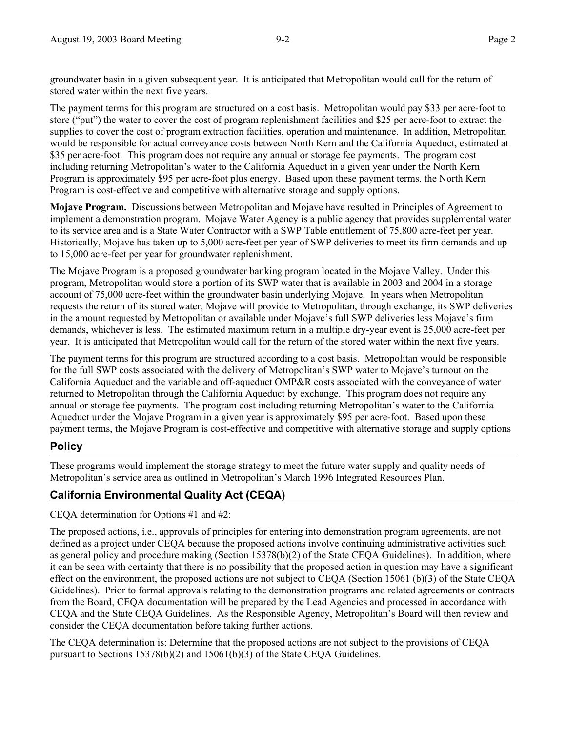groundwater basin in a given subsequent year. It is anticipated that Metropolitan would call for the return of stored water within the next five years.

The payment terms for this program are structured on a cost basis. Metropolitan would pay \$33 per acre-foot to store ("put") the water to cover the cost of program replenishment facilities and \$25 per acre-foot to extract the supplies to cover the cost of program extraction facilities, operation and maintenance. In addition, Metropolitan would be responsible for actual conveyance costs between North Kern and the California Aqueduct, estimated at \$35 per acre-foot. This program does not require any annual or storage fee payments. The program cost including returning Metropolitan's water to the California Aqueduct in a given year under the North Kern Program is approximately \$95 per acre-foot plus energy. Based upon these payment terms, the North Kern Program is cost-effective and competitive with alternative storage and supply options.

**Mojave Program.** Discussions between Metropolitan and Mojave have resulted in Principles of Agreement to implement a demonstration program. Mojave Water Agency is a public agency that provides supplemental water to its service area and is a State Water Contractor with a SWP Table entitlement of 75,800 acre-feet per year. Historically, Mojave has taken up to 5,000 acre-feet per year of SWP deliveries to meet its firm demands and up to 15,000 acre-feet per year for groundwater replenishment.

The Mojave Program is a proposed groundwater banking program located in the Mojave Valley. Under this program, Metropolitan would store a portion of its SWP water that is available in 2003 and 2004 in a storage account of 75,000 acre-feet within the groundwater basin underlying Mojave. In years when Metropolitan requests the return of its stored water, Mojave will provide to Metropolitan, through exchange, its SWP deliveries in the amount requested by Metropolitan or available under Mojave's full SWP deliveries less Mojave's firm demands, whichever is less. The estimated maximum return in a multiple dry-year event is 25,000 acre-feet per year. It is anticipated that Metropolitan would call for the return of the stored water within the next five years.

The payment terms for this program are structured according to a cost basis. Metropolitan would be responsible for the full SWP costs associated with the delivery of Metropolitan's SWP water to Mojave's turnout on the California Aqueduct and the variable and off-aqueduct OMP&R costs associated with the conveyance of water returned to Metropolitan through the California Aqueduct by exchange. This program does not require any annual or storage fee payments. The program cost including returning Metropolitan's water to the California Aqueduct under the Mojave Program in a given year is approximately \$95 per acre-foot. Based upon these payment terms, the Mojave Program is cost-effective and competitive with alternative storage and supply options

# **Policy**

These programs would implement the storage strategy to meet the future water supply and quality needs of Metropolitan's service area as outlined in Metropolitan's March 1996 Integrated Resources Plan.

# **California Environmental Quality Act (CEQA)**

CEQA determination for Options #1 and #2:

The proposed actions, i.e., approvals of principles for entering into demonstration program agreements, are not defined as a project under CEQA because the proposed actions involve continuing administrative activities such as general policy and procedure making (Section 15378(b)(2) of the State CEQA Guidelines). In addition, where it can be seen with certainty that there is no possibility that the proposed action in question may have a significant effect on the environment, the proposed actions are not subject to CEQA (Section 15061 (b)(3) of the State CEQA Guidelines). Prior to formal approvals relating to the demonstration programs and related agreements or contracts from the Board, CEQA documentation will be prepared by the Lead Agencies and processed in accordance with CEQA and the State CEQA Guidelines. As the Responsible Agency, Metropolitan's Board will then review and consider the CEQA documentation before taking further actions.

The CEQA determination is: Determine that the proposed actions are not subject to the provisions of CEQA pursuant to Sections  $15378(b)(2)$  and  $15061(b)(3)$  of the State CEQA Guidelines.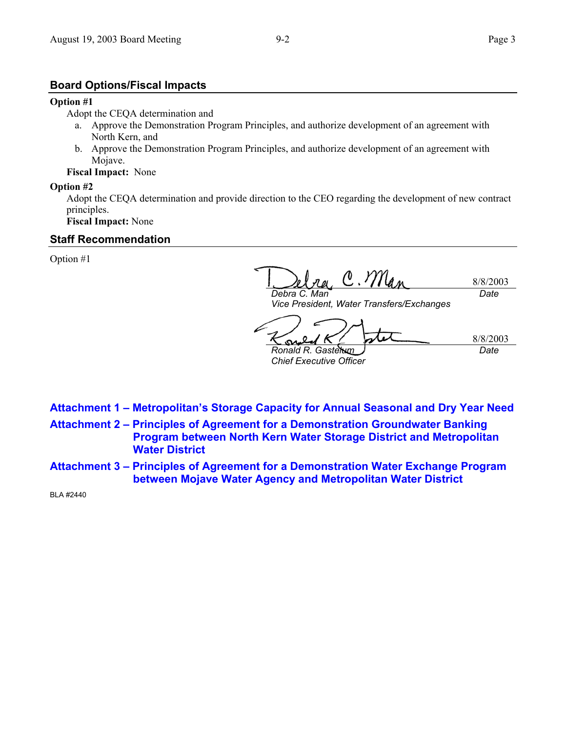### **Board Options/Fiscal Impacts**

### **Option #1**

Adopt the CEQA determination and

- a. Approve the Demonstration Program Principles, and authorize development of an agreement with North Kern, and
- b. Approve the Demonstration Program Principles, and authorize development of an agreement with Mojave.

**Fiscal Impact:** None

### **Option #2**

Adopt the CEQA determination and provide direction to the CEO regarding the development of new contract principles.

**Fiscal Impact:** None

# **Staff Recommendation**

Option #1

C. Man 8/8/2003 *Debra C. Man Date* 

*Vice President, Water Transfers/Exchanges* 

8/8/2003 ൶ *Ronald R. Gastelum Date Chief Executive Officer* 

- **Attachment 1 Metropolitan's Storage Capacity for Annual Seasonal and Dry Year Need**
- **Attachment 2 Principles of Agreement for a Demonstration Groundwater Banking Program between North Kern Water Storage District and Metropolitan Water District**
- **Attachment 3 Principles of Agreement for a Demonstration Water Exchange Program between Mojave Water Agency and Metropolitan Water District**

BLA #2440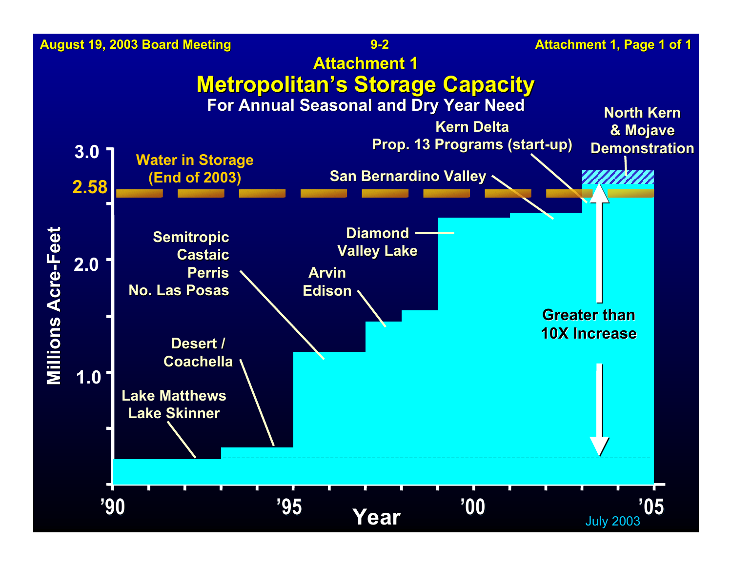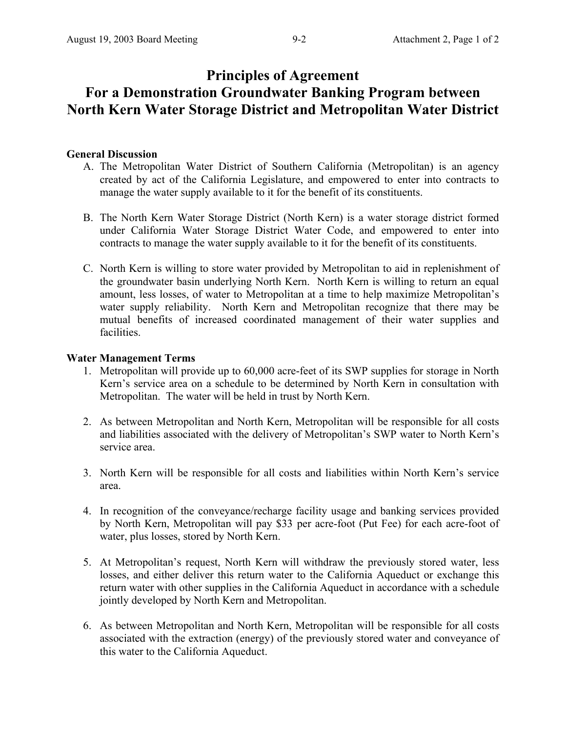# **Principles of Agreement For a Demonstration Groundwater Banking Program between North Kern Water Storage District and Metropolitan Water District**

# **General Discussion**

- A. The Metropolitan Water District of Southern California (Metropolitan) is an agency created by act of the California Legislature, and empowered to enter into contracts to manage the water supply available to it for the benefit of its constituents.
- B. The North Kern Water Storage District (North Kern) is a water storage district formed under California Water Storage District Water Code, and empowered to enter into contracts to manage the water supply available to it for the benefit of its constituents.
- C. North Kern is willing to store water provided by Metropolitan to aid in replenishment of the groundwater basin underlying North Kern. North Kern is willing to return an equal amount, less losses, of water to Metropolitan at a time to help maximize Metropolitan's water supply reliability. North Kern and Metropolitan recognize that there may be mutual benefits of increased coordinated management of their water supplies and facilities.

# **Water Management Terms**

- 1. Metropolitan will provide up to 60,000 acre-feet of its SWP supplies for storage in North Kern's service area on a schedule to be determined by North Kern in consultation with Metropolitan. The water will be held in trust by North Kern.
- 2. As between Metropolitan and North Kern, Metropolitan will be responsible for all costs and liabilities associated with the delivery of Metropolitan's SWP water to North Kern's service area.
- 3. North Kern will be responsible for all costs and liabilities within North Kern's service area.
- 4. In recognition of the conveyance/recharge facility usage and banking services provided by North Kern, Metropolitan will pay \$33 per acre-foot (Put Fee) for each acre-foot of water, plus losses, stored by North Kern.
- 5. At Metropolitan's request, North Kern will withdraw the previously stored water, less losses, and either deliver this return water to the California Aqueduct or exchange this return water with other supplies in the California Aqueduct in accordance with a schedule jointly developed by North Kern and Metropolitan.
- 6. As between Metropolitan and North Kern, Metropolitan will be responsible for all costs associated with the extraction (energy) of the previously stored water and conveyance of this water to the California Aqueduct.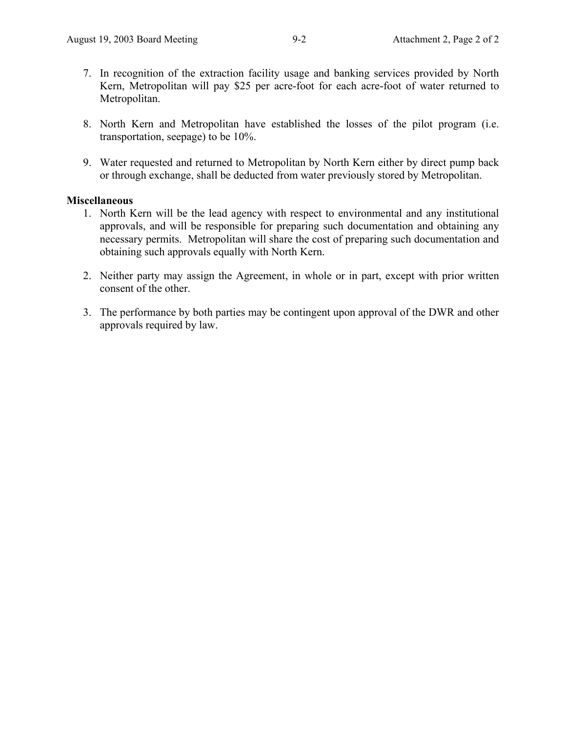- 7. In recognition of the extraction facility usage and banking services provided by North Kern, Metropolitan will pay \$25 per acre-foot for each acre-foot of water returned to Metropolitan.
- 8. North Kern and Metropolitan have established the losses of the pilot program (i.e. transportation, seepage) to be 10%.
- 9. Water requested and returned to Metropolitan by North Kern either by direct pump back or through exchange, shall be deducted from water previously stored by Metropolitan.

### **Miscellaneous**

- 1. North Kern will be the lead agency with respect to environmental and any institutional approvals, and will be responsible for preparing such documentation and obtaining any necessary permits. Metropolitan will share the cost of preparing such documentation and obtaining such approvals equally with North Kern.
- 2. Neither party may assign the Agreement, in whole or in part, except with prior written consent of the other.
- 3. The performance by both parties may be contingent upon approval of the DWR and other approvals required by law.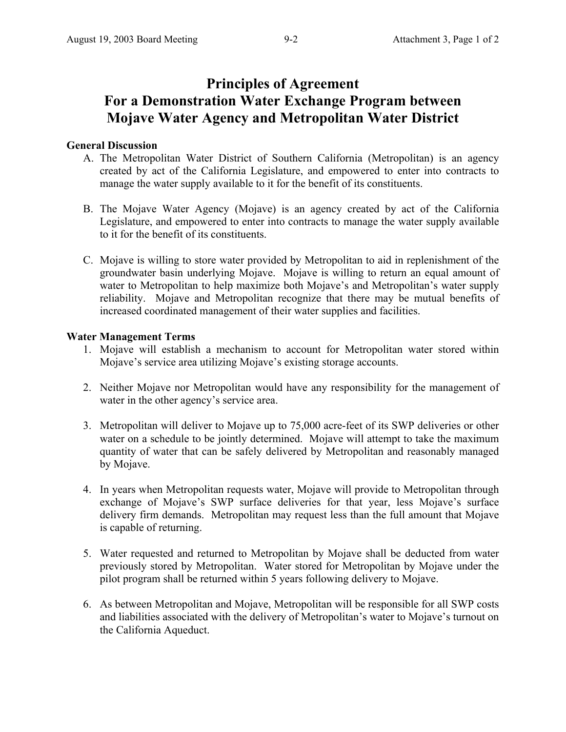# **Principles of Agreement For a Demonstration Water Exchange Program between Mojave Water Agency and Metropolitan Water District**

## **General Discussion**

- A. The Metropolitan Water District of Southern California (Metropolitan) is an agency created by act of the California Legislature, and empowered to enter into contracts to manage the water supply available to it for the benefit of its constituents.
- B. The Mojave Water Agency (Mojave) is an agency created by act of the California Legislature, and empowered to enter into contracts to manage the water supply available to it for the benefit of its constituents.
- C. Mojave is willing to store water provided by Metropolitan to aid in replenishment of the groundwater basin underlying Mojave. Mojave is willing to return an equal amount of water to Metropolitan to help maximize both Mojave's and Metropolitan's water supply reliability. Mojave and Metropolitan recognize that there may be mutual benefits of increased coordinated management of their water supplies and facilities.

### **Water Management Terms**

- 1. Mojave will establish a mechanism to account for Metropolitan water stored within Mojave's service area utilizing Mojave's existing storage accounts.
- 2. Neither Mojave nor Metropolitan would have any responsibility for the management of water in the other agency's service area.
- 3. Metropolitan will deliver to Mojave up to 75,000 acre-feet of its SWP deliveries or other water on a schedule to be jointly determined. Mojave will attempt to take the maximum quantity of water that can be safely delivered by Metropolitan and reasonably managed by Mojave.
- 4. In years when Metropolitan requests water, Mojave will provide to Metropolitan through exchange of Mojave's SWP surface deliveries for that year, less Mojave's surface delivery firm demands. Metropolitan may request less than the full amount that Mojave is capable of returning.
- 5. Water requested and returned to Metropolitan by Mojave shall be deducted from water previously stored by Metropolitan. Water stored for Metropolitan by Mojave under the pilot program shall be returned within 5 years following delivery to Mojave.
- 6. As between Metropolitan and Mojave, Metropolitan will be responsible for all SWP costs and liabilities associated with the delivery of Metropolitan's water to Mojave's turnout on the California Aqueduct.